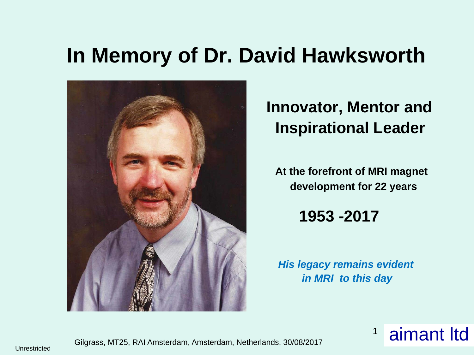# **In Memory of Dr. David Hawksworth**



## **Innovator, Mentor and Inspirational Leader**

**At the forefront of MRI magnet development for 22 years**

**1953 -2017** 

*His legacy remains evident in MRI to this day*

> aimant ltd 1



Unrestricted Gilgrass, MT25, RAI Amsterdam, Amsterdam, Netherlands, 30/08/2017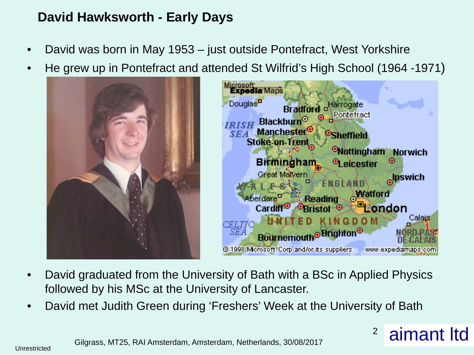### **David Hawksworth - Early Days**

- David was born in May 1953 just outside Pontefract, West Yorkshire
- He grew up in Pontefract and attended St Wilfrid's High School (1964 -1971)





- David graduated from the University of Bath with a BSc in Applied Physics followed by his MSc at the University of Lancaster.
- David met Judith Green during 'Freshers' Week at the University of Bath

<sup>2</sup> aimant Itd

Gilgrass, MT25, RAI Amsterdam, Amsterdam, Netherlands, 30/08/2017 Unrestricted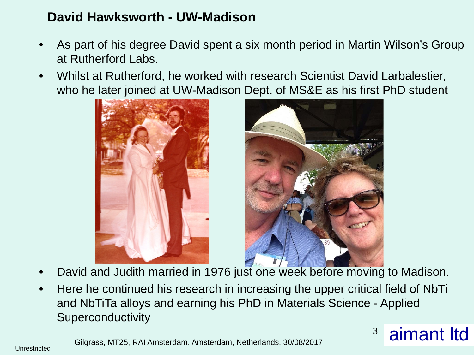#### **David Hawksworth - UW-Madison**

- As part of his degree David spent a six month period in Martin Wilson's Group at Rutherford Labs.
- Whilst at Rutherford, he worked with research Scientist David Larbalestier, who he later joined at UW-Madison Dept. of MS&E as his first PhD student





- David and Judith married in 1976 just one week before moving to Madison.
- Here he continued his research in increasing the upper critical field of NbTi and NbTiTa alloys and earning his PhD in Materials Science - Applied **Superconductivity**

Gilgrass, MT25, RAI Amsterdam, Amsterdam, Netherlands, 30/08/2017 <sup>3</sup> aimant ltd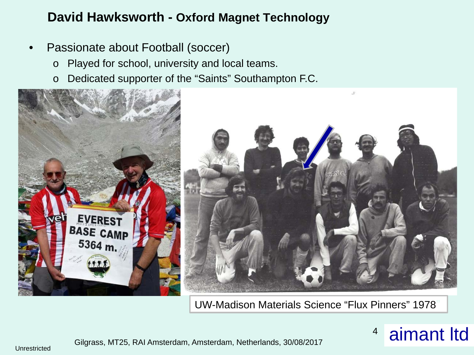- Passionate about Football (soccer)
	- o Played for school, university and local teams.
	- o Dedicated supporter of the "Saints" Southampton F.C.



UW-Madison Materials Science "Flux Pinners" 1978"

## Gilgrass, MT25, RAI Amsterdam, Amsterdam, Netherlands, 30/08/2017  $\blacksquare$  aimant ltd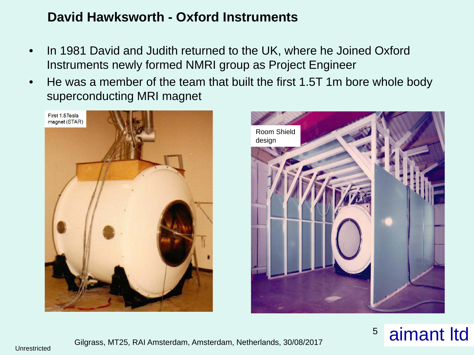#### **David Hawksworth - Oxford Instruments**

- In 1981 David and Judith returned to the UK, where he Joined Oxford Instruments newly formed NMRI group as Project Engineer
- He was a member of the team that built the first 1.5T 1m bore whole body superconducting MRI magnet





![](_page_4_Picture_5.jpeg)

![](_page_4_Picture_6.jpeg)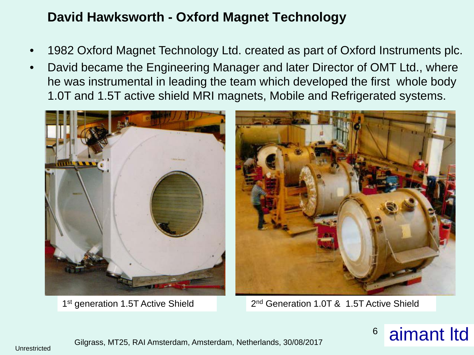- 1982 Oxford Magnet Technology Ltd. created as part of Oxford Instruments plc.
- David became the Engineering Manager and later Director of OMT Ltd., where he was instrumental in leading the team which developed the first whole body 1.0T and 1.5T active shield MRI magnets, Mobile and Refrigerated systems.

![](_page_5_Picture_3.jpeg)

1<sup>st</sup> generation 1.5T Active Shield 2<sup>nd</sup> Generation 1.0T & 1.5T Active Shield

![](_page_5_Picture_6.jpeg)

![](_page_5_Picture_7.jpeg)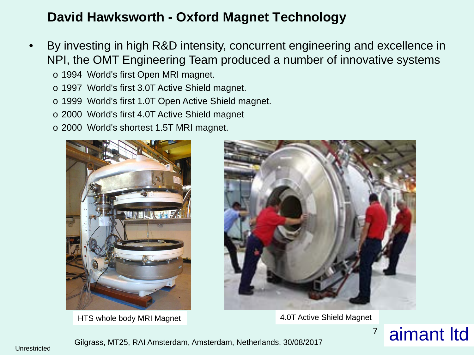- By investing in high R&D intensity, concurrent engineering and excellence in NPI, the OMT Engineering Team produced a number of innovative systems
	- o 1994 World's first Open MRI magnet.
	- o 1997 World's first 3.0T Active Shield magnet.
	- o 1999 World's first 1.0T Open Active Shield magnet.
	- o 2000 World's first 4.0T Active Shield magnet
	- o 2000 World's shortest 1.5T MRI magnet.

![](_page_6_Picture_7.jpeg)

HTS whole body MRI Magnet **4.0T Active Shield Magnet** 

![](_page_6_Picture_9.jpeg)

![](_page_6_Picture_11.jpeg)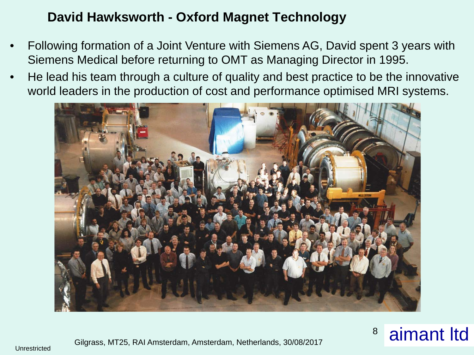- Following formation of a Joint Venture with Siemens AG, David spent 3 years with Siemens Medical before returning to OMT as Managing Director in 1995.
- He lead his team through a culture of quality and best practice to be the innovative world leaders in the production of cost and performance optimised MRI systems.

![](_page_7_Picture_3.jpeg)

![](_page_7_Picture_5.jpeg)

Unrestricted Gilgrass, MT25, RAI Amsterdam, Amsterdam, Netherlands, 30/08/2017 **8 aimant ltd**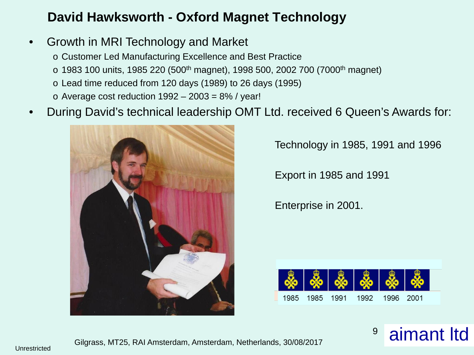- Growth in MRI Technology and Market
	- o Customer Led Manufacturing Excellence and Best Practice
	- $\circ$  1983 100 units, 1985 220 (500<sup>th</sup> magnet), 1998 500, 2002 700 (7000<sup>th</sup> magnet)
	- o Lead time reduced from 120 days (1989) to 26 days (1995)
	- $\circ$  Average cost reduction 1992 2003 = 8% / year!
- During David's technical leadership OMT Ltd. received 6 Queen's Awards for:

![](_page_8_Picture_7.jpeg)

Technology in 1985, 1991 and 1996

Export in 1985 and 1991

Enterprise in 2001.

![](_page_8_Picture_11.jpeg)

Gilgrass, MT25, RAI Amsterdam, Amsterdam, Netherlands, 30/08/2017 **aimant ltd**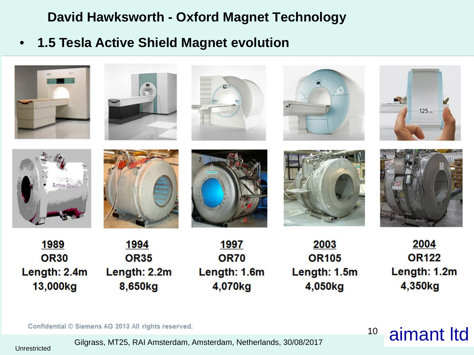• **1.5 Tesla Active Shield Magnet evolution**

![](_page_9_Picture_2.jpeg)

Confidential © Siemens AG 2013 All rights reserved.<br>Gilgrass, MT25, RAI Amsterdam, Amsterdam, Netherlands, 30/08/2017<br>Unrestricted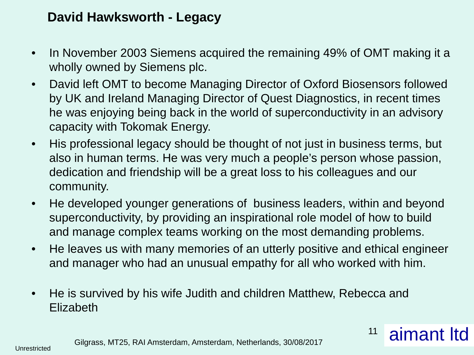#### **David Hawksworth - Legacy**

- In November 2003 Siemens acquired the remaining 49% of OMT making it a wholly owned by Siemens plc.
- David left OMT to become Managing Director of Oxford Biosensors followed by UK and Ireland Managing Director of Quest Diagnostics, in recent times he was enjoying being back in the world of superconductivity in an advisory capacity with Tokomak Energy.
- His professional legacy should be thought of not just in business terms, but also in human terms. He was very much a people's person whose passion, dedication and friendship will be a great loss to his colleagues and our community.
- He developed younger generations of business leaders, within and beyond superconductivity, by providing an inspirational role model of how to build and manage complex teams working on the most demanding problems.
- He leaves us with many memories of an utterly positive and ethical engineer and manager who had an unusual empathy for all who worked with him.
- He is survived by his wife Judith and children Matthew, Rebecca and Elizabeth